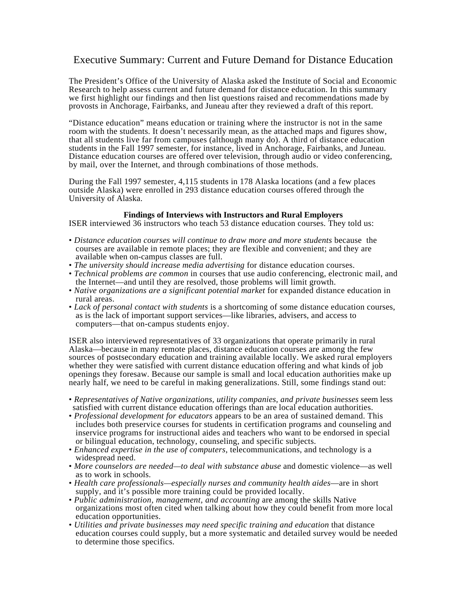# Executive Summary: Current and Future Demand for Distance Education

The President's Office of the University of Alaska asked the Institute of Social and Economic Research to help assess current and future demand for distance education. In this summary we first highlight our findings and then list questions raised and recommendations made by provosts in Anchorage, Fairbanks, and Juneau after they reviewed a draft of this report.

"Distance education" means education or training where the instructor is not in the same room with the students. It doesn't necessarily mean, as the attached maps and figures show, that all students live far from campuses (although many do). A third of distance education students in the Fall 1997 semester, for instance, lived in Anchorage, Fairbanks, and Juneau. Distance education courses are offered over television, through audio or video conferencing, by mail, over the Internet, and through combinations of those methods.

During the Fall 1997 semester, 4,115 students in 178 Alaska locations (and a few places outside Alaska) were enrolled in 293 distance education courses offered through the University of Alaska.

### **Findings of Interviews with Instructors and Rural Employers**

ISER interviewed 36 instructors who teach 53 distance education courses. They told us:

- *Distance education courses will continue to draw more and more students* because the courses are available in remote places; they are flexible and convenient; and they are available when on-campus classes are full.
- *The university should increase media advertising* for distance education courses.
- *Technical problems are common* in courses that use audio conferencing, electronic mail, and the Internet—and until they are resolved, those problems will limit growth.
- *Native organizations are a significant potential market* for expanded distance education in rural areas.
- *Lack of personal contact with students* is a shortcoming of some distance education courses, as is the lack of important support services—like libraries, advisers, and access to computers—that on-campus students enjoy.

ISER also interviewed representatives of 33 organizations that operate primarily in rural Alaska—because in many remote places, distance education courses are among the few sources of postsecondary education and training available locally. We asked rural employers whether they were satisfied with current distance education offering and what kinds of job openings they foresaw. Because our sample is small and local education authorities make up nearly half, we need to be careful in making generalizations. Still, some findings stand out:

- *Representatives of Native organizations, utility companies, and private businesses* seem less satisfied with current distance education offerings than are local education authorities.
- *Professional development for educators* appears to be an area of sustained demand. This includes both preservice courses for students in certification programs and counseling and inservice programs for instructional aides and teachers who want to be endorsed in special or bilingual education, technology, counseling, and specific subjects.
- *Enhanced expertise in the use of computers*, telecommunications, and technology is a widespread need.
- *More counselors are needed—to deal with substance abuse* and domestic violence—as well as to work in schools.
- *Health care professionals—especially nurses and community health aides*—are in short supply, and it's possible more training could be provided locally.
- *Public administration, management, and accounting* are among the skills Native organizations most often cited when talking about how they could benefit from more local education opportunities.
- *Utilities and private businesses may need specific training and education* that distance education courses could supply, but a more systematic and detailed survey would be needed to determine those specifics.